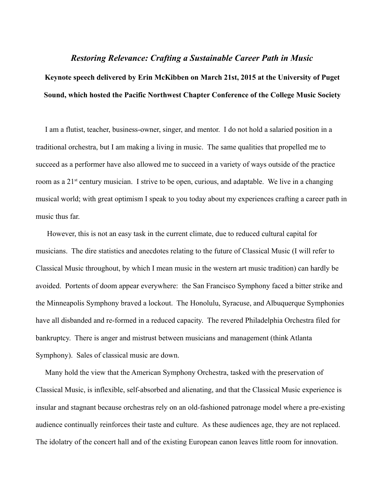## *Restoring Relevance: Crafting a Sustainable Career Path in Music*

# **Keynote speech delivered by Erin McKibben on March 21st, 2015 at the University of Puget Sound, which hosted the Pacific Northwest Chapter Conference of the College Music Society**

 I am a flutist, teacher, business-owner, singer, and mentor. I do not hold a salaried position in a traditional orchestra, but I am making a living in music. The same qualities that propelled me to succeed as a performer have also allowed me to succeed in a variety of ways outside of the practice room as a  $21<sup>st</sup>$  century musician. I strive to be open, curious, and adaptable. We live in a changing musical world; with great optimism I speak to you today about my experiences crafting a career path in music thus far.

 However, this is not an easy task in the current climate, due to reduced cultural capital for musicians. The dire statistics and anecdotes relating to the future of Classical Music (I will refer to Classical Music throughout, by which I mean music in the western art music tradition) can hardly be avoided. Portents of doom appear everywhere: the San Francisco Symphony faced a bitter strike and the Minneapolis Symphony braved a lockout. The Honolulu, Syracuse, and Albuquerque Symphonies have all disbanded and re-formed in a reduced capacity. The revered Philadelphia Orchestra filed for bankruptcy. There is anger and mistrust between musicians and management (think Atlanta Symphony). Sales of classical music are down.

 Many hold the view that the American Symphony Orchestra, tasked with the preservation of Classical Music, is inflexible, self-absorbed and alienating, and that the Classical Music experience is insular and stagnant because orchestras rely on an old-fashioned patronage model where a pre-existing audience continually reinforces their taste and culture. As these audiences age, they are not replaced. The idolatry of the concert hall and of the existing European canon leaves little room for innovation.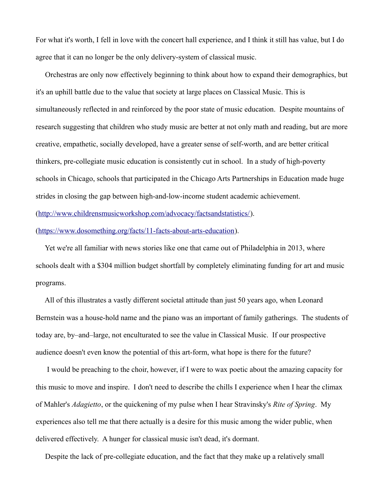For what it's worth, I fell in love with the concert hall experience, and I think it still has value, but I do agree that it can no longer be the only delivery-system of classical music.

 Orchestras are only now effectively beginning to think about how to expand their demographics, but it's an uphill battle due to the value that society at large places on Classical Music. This is simultaneously reflected in and reinforced by the poor state of music education. Despite mountains of research suggesting that children who study music are better at not only math and reading, but are more creative, empathetic, socially developed, have a greater sense of self-worth, and are better critical thinkers, pre-collegiate music education is consistently cut in school. In a study of high-poverty schools in Chicago, schools that participated in the Chicago Arts Partnerships in Education made huge strides in closing the gap between high-and-low-income student academic achievement. [\(http://www.childrensmusicworkshop.com/advocacy/factsandstatistics/\)](http://www.childrensmusicworkshop.com/advocacy/factsandstatistics/).

[\(https://www.dosomething.org/facts/11-facts-about-arts-education\)](https://www.dosomething.org/facts/11-facts-about-arts-education).

 Yet we're all familiar with news stories like one that came out of Philadelphia in 2013, where schools dealt with a \$304 million budget shortfall by completely eliminating funding for art and music programs.

 All of this illustrates a vastly different societal attitude than just 50 years ago, when Leonard Bernstein was a house-hold name and the piano was an important of family gatherings. The students of today are, by–and–large, not enculturated to see the value in Classical Music. If our prospective audience doesn't even know the potential of this art-form, what hope is there for the future?

 I would be preaching to the choir, however, if I were to wax poetic about the amazing capacity for this music to move and inspire. I don't need to describe the chills I experience when I hear the climax of Mahler's *Adagietto*, or the quickening of my pulse when I hear Stravinsky's *Rite of Spring*. My experiences also tell me that there actually is a desire for this music among the wider public, when delivered effectively. A hunger for classical music isn't dead, it's dormant.

Despite the lack of pre-collegiate education, and the fact that they make up a relatively small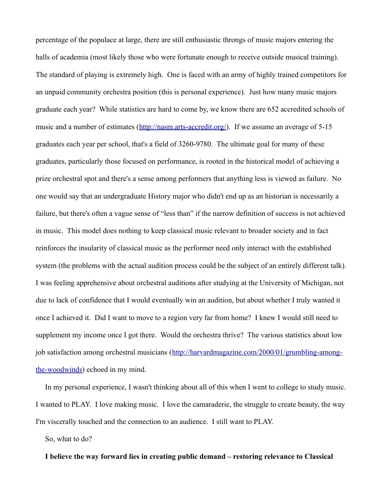percentage of the populace at large, there are still enthusiastic throngs of music majors entering the halls of academia (most likely those who were fortunate enough to receive outside musical training). The standard of playing is extremely high. One is faced with an army of highly trained competitors for an unpaid community orchestra position (this is personal experience). Just how many music majors graduate each year? While statistics are hard to come by, we know there are 652 accredited schools of music and a number of estimates [\(http://nasm.arts-accredit.org/\)](http://nasm.arts-accredit.org/). If we assume an average of 5-15 graduates each year per school, that's a field of 3260-9780. The ultimate goal for many of these graduates, particularly those focused on performance, is rooted in the historical model of achieving a prize orchestral spot and there's a sense among performers that anything less is viewed as failure. No one would say that an undergraduate History major who didn't end up as an historian is necessarily a failure, but there's often a vague sense of "less than" if the narrow definition of success is not achieved in music. This model does nothing to keep classical music relevant to broader society and in fact reinforces the insularity of classical music as the performer need only interact with the established system (the problems with the actual audition process could be the subject of an entirely different talk). I was feeling apprehensive about orchestral auditions after studying at the University of Michigan, not due to lack of confidence that I would eventually win an audition, but about whether I truly wanted it once I achieved it. Did I want to move to a region very far from home? I knew I would still need to supplement my income once I got there. Would the orchestra thrive? The various statistics about low job satisfaction among orchestral musicians [\(http://harvardmagazine.com/2000/01/grumbling-among](http://harvardmagazine.com/2000/01/grumbling-among-the-woodwinds)[the-woodwinds\)](http://harvardmagazine.com/2000/01/grumbling-among-the-woodwinds) echoed in my mind.

 In my personal experience, I wasn't thinking about all of this when I went to college to study music. I wanted to PLAY. I love making music. I love the camaraderie, the struggle to create beauty, the way I'm viscerally touched and the connection to an audience. I still want to PLAY.

So, what to do?

## **I believe the way forward lies in creating public demand – restoring relevance to Classical**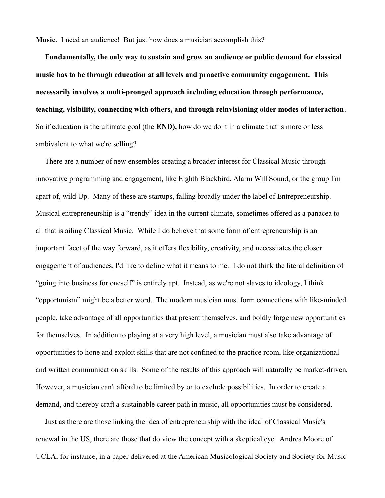**Music**. I need an audience! But just how does a musician accomplish this?

 **Fundamentally, the only way to sustain and grow an audience or public demand for classical music has to be through education at all levels and proactive community engagement. This necessarily involves a multi-pronged approach including education through performance, teaching, visibility, connecting with others, and through reinvisioning older modes of interaction**. So if education is the ultimate goal (the **END),** how do we do it in a climate that is more or less ambivalent to what we're selling?

 There are a number of new ensembles creating a broader interest for Classical Music through innovative programming and engagement, like Eighth Blackbird, Alarm Will Sound, or the group I'm apart of, wild Up. Many of these are startups, falling broadly under the label of Entrepreneurship. Musical entrepreneurship is a "trendy" idea in the current climate, sometimes offered as a panacea to all that is ailing Classical Music. While I do believe that some form of entrepreneurship is an important facet of the way forward, as it offers flexibility, creativity, and necessitates the closer engagement of audiences, I'd like to define what it means to me. I do not think the literal definition of "going into business for oneself" is entirely apt. Instead, as we're not slaves to ideology, I think "opportunism" might be a better word. The modern musician must form connections with like-minded people, take advantage of all opportunities that present themselves, and boldly forge new opportunities for themselves. In addition to playing at a very high level, a musician must also take advantage of opportunities to hone and exploit skills that are not confined to the practice room, like organizational and written communication skills. Some of the results of this approach will naturally be market-driven. However, a musician can't afford to be limited by or to exclude possibilities. In order to create a demand, and thereby craft a sustainable career path in music, all opportunities must be considered.

 Just as there are those linking the idea of entrepreneurship with the ideal of Classical Music's renewal in the US, there are those that do view the concept with a skeptical eye. Andrea Moore of UCLA, for instance, in a paper delivered at the American Musicological Society and Society for Music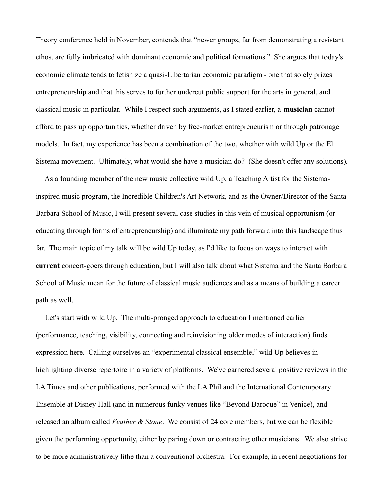Theory conference held in November, contends that "newer groups, far from demonstrating a resistant ethos, are fully imbricated with dominant economic and political formations." She argues that today's economic climate tends to fetishize a quasi-Libertarian economic paradigm - one that solely prizes entrepreneurship and that this serves to further undercut public support for the arts in general, and classical music in particular. While I respect such arguments, as I stated earlier, a **musician** cannot afford to pass up opportunities, whether driven by free-market entrepreneurism or through patronage models. In fact, my experience has been a combination of the two, whether with wild Up or the El Sistema movement. Ultimately, what would she have a musician do? (She doesn't offer any solutions).

 As a founding member of the new music collective wild Up, a Teaching Artist for the Sistemainspired music program, the Incredible Children's Art Network, and as the Owner/Director of the Santa Barbara School of Music, I will present several case studies in this vein of musical opportunism (or educating through forms of entrepreneurship) and illuminate my path forward into this landscape thus far. The main topic of my talk will be wild Up today, as I'd like to focus on ways to interact with **current** concert-goers through education, but I will also talk about what Sistema and the Santa Barbara School of Music mean for the future of classical music audiences and as a means of building a career path as well.

 Let's start with wild Up. The multi-pronged approach to education I mentioned earlier (performance, teaching, visibility, connecting and reinvisioning older modes of interaction) finds expression here. Calling ourselves an "experimental classical ensemble," wild Up believes in highlighting diverse repertoire in a variety of platforms. We've garnered several positive reviews in the LA Times and other publications, performed with the LA Phil and the International Contemporary Ensemble at Disney Hall (and in numerous funky venues like "Beyond Baroque" in Venice), and released an album called *Feather & Stone*. We consist of 24 core members, but we can be flexible given the performing opportunity, either by paring down or contracting other musicians. We also strive to be more administratively lithe than a conventional orchestra. For example, in recent negotiations for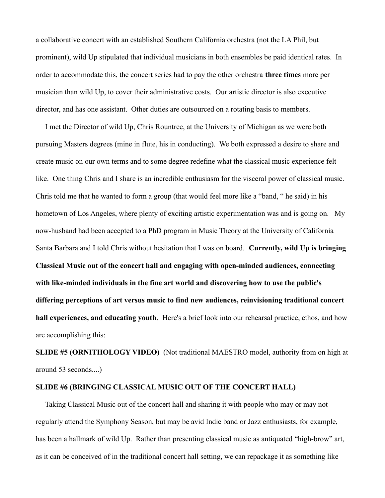a collaborative concert with an established Southern California orchestra (not the LA Phil, but prominent), wild Up stipulated that individual musicians in both ensembles be paid identical rates. In order to accommodate this, the concert series had to pay the other orchestra **three times** more per musician than wild Up, to cover their administrative costs. Our artistic director is also executive director, and has one assistant. Other duties are outsourced on a rotating basis to members.

 I met the Director of wild Up, Chris Rountree, at the University of Michigan as we were both pursuing Masters degrees (mine in flute, his in conducting). We both expressed a desire to share and create music on our own terms and to some degree redefine what the classical music experience felt like. One thing Chris and I share is an incredible enthusiasm for the visceral power of classical music. Chris told me that he wanted to form a group (that would feel more like a "band, " he said) in his hometown of Los Angeles, where plenty of exciting artistic experimentation was and is going on. My now-husband had been accepted to a PhD program in Music Theory at the University of California Santa Barbara and I told Chris without hesitation that I was on board. **Currently, wild Up is bringing Classical Music out of the concert hall and engaging with open-minded audiences, connecting with like-minded individuals in the fine art world and discovering how to use the public's differing perceptions of art versus music to find new audiences, reinvisioning traditional concert hall experiences, and educating youth**. Here's a brief look into our rehearsal practice, ethos, and how are accomplishing this:

**SLIDE #5 (ORNITHOLOGY VIDEO)** (Not traditional MAESTRO model, authority from on high at around 53 seconds....)

#### **SLIDE #6 (BRINGING CLASSICAL MUSIC OUT OF THE CONCERT HALL)**

 Taking Classical Music out of the concert hall and sharing it with people who may or may not regularly attend the Symphony Season, but may be avid Indie band or Jazz enthusiasts, for example, has been a hallmark of wild Up. Rather than presenting classical music as antiquated "high-brow" art, as it can be conceived of in the traditional concert hall setting, we can repackage it as something like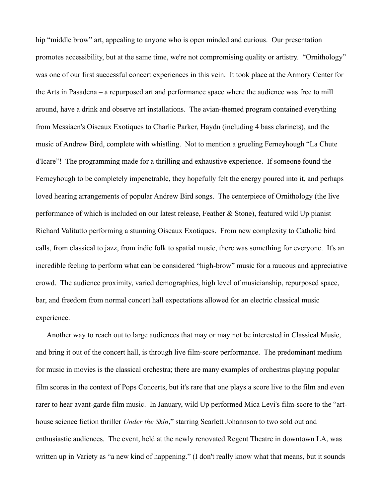hip "middle brow" art, appealing to anyone who is open minded and curious. Our presentation promotes accessibility, but at the same time, we're not compromising quality or artistry. "Ornithology" was one of our first successful concert experiences in this vein. It took place at the Armory Center for the Arts in Pasadena – a repurposed art and performance space where the audience was free to mill around, have a drink and observe art installations. The avian-themed program contained everything from Messiaen's Oiseaux Exotiques to Charlie Parker, Haydn (including 4 bass clarinets), and the music of Andrew Bird, complete with whistling. Not to mention a grueling Ferneyhough "La Chute d'Icare"! The programming made for a thrilling and exhaustive experience. If someone found the Ferneyhough to be completely impenetrable, they hopefully felt the energy poured into it, and perhaps loved hearing arrangements of popular Andrew Bird songs. The centerpiece of Ornithology (the live performance of which is included on our latest release, Feather & Stone), featured wild Up pianist Richard Valitutto performing a stunning Oiseaux Exotiques. From new complexity to Catholic bird calls, from classical to jazz, from indie folk to spatial music, there was something for everyone. It's an incredible feeling to perform what can be considered "high-brow" music for a raucous and appreciative crowd. The audience proximity, varied demographics, high level of musicianship, repurposed space, bar, and freedom from normal concert hall expectations allowed for an electric classical music experience.

 Another way to reach out to large audiences that may or may not be interested in Classical Music, and bring it out of the concert hall, is through live film-score performance. The predominant medium for music in movies is the classical orchestra; there are many examples of orchestras playing popular film scores in the context of Pops Concerts, but it's rare that one plays a score live to the film and even rarer to hear avant-garde film music. In January, wild Up performed Mica Levi's film-score to the "arthouse science fiction thriller *Under the Skin*," starring Scarlett Johannson to two sold out and enthusiastic audiences. The event, held at the newly renovated Regent Theatre in downtown LA, was written up in Variety as "a new kind of happening." (I don't really know what that means, but it sounds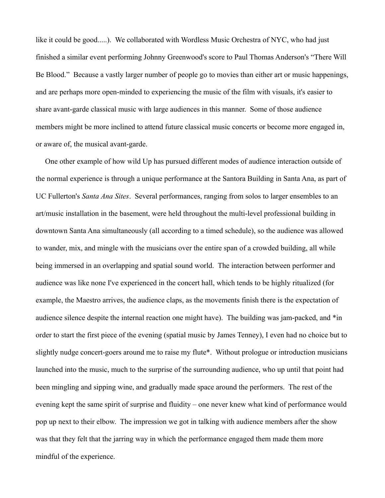like it could be good.....). We collaborated with Wordless Music Orchestra of NYC, who had just finished a similar event performing Johnny Greenwood's score to Paul Thomas Anderson's "There Will Be Blood." Because a vastly larger number of people go to movies than either art or music happenings, and are perhaps more open-minded to experiencing the music of the film with visuals, it's easier to share avant-garde classical music with large audiences in this manner. Some of those audience members might be more inclined to attend future classical music concerts or become more engaged in, or aware of, the musical avant-garde.

 One other example of how wild Up has pursued different modes of audience interaction outside of the normal experience is through a unique performance at the Santora Building in Santa Ana, as part of UC Fullerton's *Santa Ana Sites*. Several performances, ranging from solos to larger ensembles to an art/music installation in the basement, were held throughout the multi-level professional building in downtown Santa Ana simultaneously (all according to a timed schedule), so the audience was allowed to wander, mix, and mingle with the musicians over the entire span of a crowded building, all while being immersed in an overlapping and spatial sound world. The interaction between performer and audience was like none I've experienced in the concert hall, which tends to be highly ritualized (for example, the Maestro arrives, the audience claps, as the movements finish there is the expectation of audience silence despite the internal reaction one might have). The building was jam-packed, and \*in order to start the first piece of the evening (spatial music by James Tenney), I even had no choice but to slightly nudge concert-goers around me to raise my flute\*. Without prologue or introduction musicians launched into the music, much to the surprise of the surrounding audience, who up until that point had been mingling and sipping wine, and gradually made space around the performers. The rest of the evening kept the same spirit of surprise and fluidity – one never knew what kind of performance would pop up next to their elbow. The impression we got in talking with audience members after the show was that they felt that the jarring way in which the performance engaged them made them more mindful of the experience.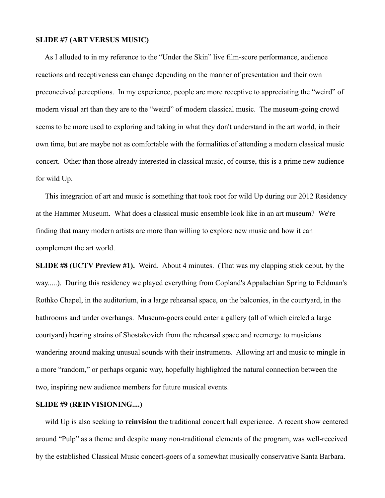#### **SLIDE #7 (ART VERSUS MUSIC)**

 As I alluded to in my reference to the "Under the Skin" live film-score performance, audience reactions and receptiveness can change depending on the manner of presentation and their own preconceived perceptions. In my experience, people are more receptive to appreciating the "weird" of modern visual art than they are to the "weird" of modern classical music. The museum-going crowd seems to be more used to exploring and taking in what they don't understand in the art world, in their own time, but are maybe not as comfortable with the formalities of attending a modern classical music concert. Other than those already interested in classical music, of course, this is a prime new audience for wild Up.

 This integration of art and music is something that took root for wild Up during our 2012 Residency at the Hammer Museum. What does a classical music ensemble look like in an art museum? We're finding that many modern artists are more than willing to explore new music and how it can complement the art world.

**SLIDE #8 (UCTV Preview #1).** Weird. About 4 minutes. (That was my clapping stick debut, by the way.....). During this residency we played everything from Copland's Appalachian Spring to Feldman's Rothko Chapel, in the auditorium, in a large rehearsal space, on the balconies, in the courtyard, in the bathrooms and under overhangs. Museum-goers could enter a gallery (all of which circled a large courtyard) hearing strains of Shostakovich from the rehearsal space and reemerge to musicians wandering around making unusual sounds with their instruments. Allowing art and music to mingle in a more "random," or perhaps organic way, hopefully highlighted the natural connection between the two, inspiring new audience members for future musical events.

### **SLIDE #9 (REINVISIONING....)**

 wild Up is also seeking to **reinvision** the traditional concert hall experience. A recent show centered around "Pulp" as a theme and despite many non-traditional elements of the program, was well-received by the established Classical Music concert-goers of a somewhat musically conservative Santa Barbara.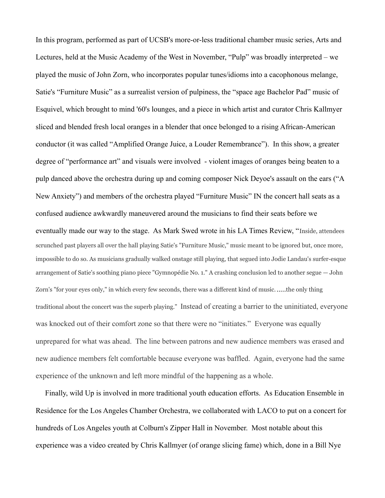In this program, performed as part of UCSB's more-or-less traditional chamber music series, Arts and Lectures, held at the Music Academy of the West in November, "Pulp" was broadly interpreted – we played the music of John Zorn, who incorporates popular tunes/idioms into a cacophonous melange, Satie's "Furniture Music" as a surrealist version of pulpiness, the "space age Bachelor Pad" music of Esquivel, which brought to mind '60's lounges, and a piece in which artist and curator Chris Kallmyer sliced and blended fresh local oranges in a blender that once belonged to a rising African-American conductor (it was called "Amplified Orange Juice, a Louder Remembrance"). In this show, a greater degree of "performance art" and visuals were involved - violent images of oranges being beaten to a pulp danced above the orchestra during up and coming composer Nick Deyoe's assault on the ears ("A New Anxiety") and members of the orchestra played "Furniture Music" IN the concert hall seats as a confused audience awkwardly maneuvered around the musicians to find their seats before we eventually made our way to the stage. As Mark Swed wrote in his LA Times Review, "Inside, attendees scrunched past players all over the hall playing Satie's "Furniture Music," music meant to be ignored but, once more, impossible to do so. As musicians gradually walked onstage still playing, that segued into Jodie Landau's surfer-esque arrangement of Satie's soothing piano piece "Gymnopédie No. 1." A crashing conclusion led to another segue — John Zorn's "for your eyes only," in which every few seconds, there was a different kind of music......the only thing traditional about the concert was the superb playing." Instead of creating a barrier to the uninitiated, everyone was knocked out of their comfort zone so that there were no "initiates." Everyone was equally unprepared for what was ahead. The line between patrons and new audience members was erased and new audience members felt comfortable because everyone was baffled. Again, everyone had the same experience of the unknown and left more mindful of the happening as a whole.

 Finally, wild Up is involved in more traditional youth education efforts. As Education Ensemble in Residence for the Los Angeles Chamber Orchestra, we collaborated with LACO to put on a concert for hundreds of Los Angeles youth at Colburn's Zipper Hall in November. Most notable about this experience was a video created by Chris Kallmyer (of orange slicing fame) which, done in a Bill Nye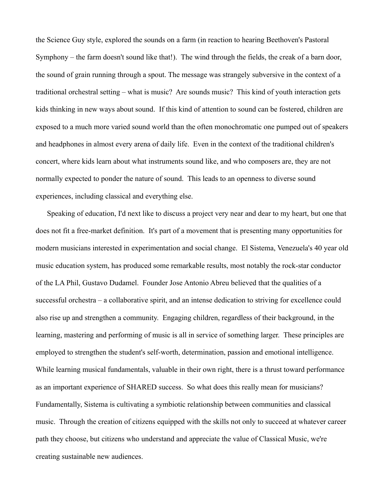the Science Guy style, explored the sounds on a farm (in reaction to hearing Beethoven's Pastoral Symphony – the farm doesn't sound like that!). The wind through the fields, the creak of a barn door, the sound of grain running through a spout. The message was strangely subversive in the context of a traditional orchestral setting – what is music? Are sounds music? This kind of youth interaction gets kids thinking in new ways about sound. If this kind of attention to sound can be fostered, children are exposed to a much more varied sound world than the often monochromatic one pumped out of speakers and headphones in almost every arena of daily life. Even in the context of the traditional children's concert, where kids learn about what instruments sound like, and who composers are, they are not normally expected to ponder the nature of sound. This leads to an openness to diverse sound experiences, including classical and everything else.

 Speaking of education, I'd next like to discuss a project very near and dear to my heart, but one that does not fit a free-market definition. It's part of a movement that is presenting many opportunities for modern musicians interested in experimentation and social change. El Sistema, Venezuela's 40 year old music education system, has produced some remarkable results, most notably the rock-star conductor of the LA Phil, Gustavo Dudamel. Founder Jose Antonio Abreu believed that the qualities of a successful orchestra – a collaborative spirit, and an intense dedication to striving for excellence could also rise up and strengthen a community. Engaging children, regardless of their background, in the learning, mastering and performing of music is all in service of something larger. These principles are employed to strengthen the student's self-worth, determination, passion and emotional intelligence. While learning musical fundamentals, valuable in their own right, there is a thrust toward performance as an important experience of SHARED success. So what does this really mean for musicians? Fundamentally, Sistema is cultivating a symbiotic relationship between communities and classical music. Through the creation of citizens equipped with the skills not only to succeed at whatever career path they choose, but citizens who understand and appreciate the value of Classical Music, we're creating sustainable new audiences.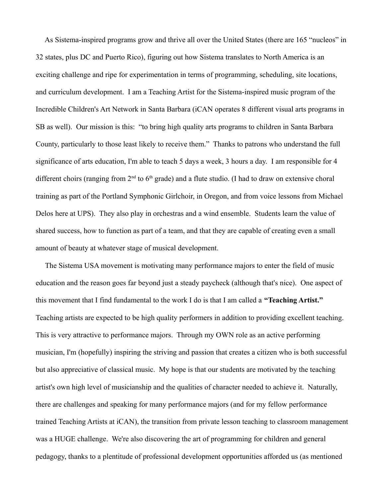As Sistema-inspired programs grow and thrive all over the United States (there are 165 "nucleos" in 32 states, plus DC and Puerto Rico), figuring out how Sistema translates to North America is an exciting challenge and ripe for experimentation in terms of programming, scheduling, site locations, and curriculum development. I am a Teaching Artist for the Sistema-inspired music program of the Incredible Children's Art Network in Santa Barbara (iCAN operates 8 different visual arts programs in SB as well). Our mission is this: "to bring high quality arts programs to children in Santa Barbara County, particularly to those least likely to receive them." Thanks to patrons who understand the full significance of arts education, I'm able to teach 5 days a week, 3 hours a day. I am responsible for 4 different choirs (ranging from  $2<sup>nd</sup>$  to  $6<sup>th</sup>$  grade) and a flute studio. (I had to draw on extensive choral training as part of the Portland Symphonic Girlchoir, in Oregon, and from voice lessons from Michael Delos here at UPS). They also play in orchestras and a wind ensemble. Students learn the value of shared success, how to function as part of a team, and that they are capable of creating even a small amount of beauty at whatever stage of musical development.

 The Sistema USA movement is motivating many performance majors to enter the field of music education and the reason goes far beyond just a steady paycheck (although that's nice). One aspect of this movement that I find fundamental to the work I do is that I am called a **"Teaching Artist."** Teaching artists are expected to be high quality performers in addition to providing excellent teaching. This is very attractive to performance majors. Through my OWN role as an active performing musician, I'm (hopefully) inspiring the striving and passion that creates a citizen who is both successful but also appreciative of classical music. My hope is that our students are motivated by the teaching artist's own high level of musicianship and the qualities of character needed to achieve it. Naturally, there are challenges and speaking for many performance majors (and for my fellow performance trained Teaching Artists at iCAN), the transition from private lesson teaching to classroom management was a HUGE challenge. We're also discovering the art of programming for children and general pedagogy, thanks to a plentitude of professional development opportunities afforded us (as mentioned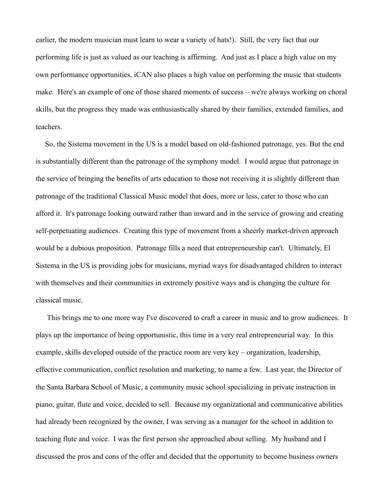earlier, the modern musician must learn to wear a variety of hats!). Still, the very fact that our performing life is just as valued as our teaching is affirming. And just as I place a high value on my own performance opportunities, iCAN also places a high value on performing the music that students make. Here's an example of one of those shared moments of success – we're always working on choral skills, but the progress they made was enthusiastically shared by their families, extended families, and teachers.

 So, the Sistema movement in the US is a model based on old-fashioned patronage, yes. But the end is substantially different than the patronage of the symphony model. I would argue that patronage in the service of bringing the benefits of arts education to those not receiving it is slightly different than patronage of the traditional Classical Music model that does, more or less, cater to those who can afford it. It's patronage looking outward rather than inward and in the service of growing and creating self-perpetuating audiences. Creating this type of movement from a sheerly market-driven approach would be a dubious proposition. Patronage fills a need that entrepreneurship can't. Ultimately, El Sistema in the US is providing jobs for musicians, myriad ways for disadvantaged children to interact with themselves and their communities in extremely positive ways and is changing the culture for classical music.

 This brings me to one more way I've discovered to craft a career in music and to grow audiences. It plays up the importance of being opportunistic, this time in a very real entrepreneurial way. In this example, skills developed outside of the practice room are very key – organization, leadership, effective communication, conflict resolution and marketing, to name a few. Last year, the Director of the Santa Barbara School of Music, a community music school specializing in private instruction in piano, guitar, flute and voice, decided to sell. Because my organizational and communicative abilities had already been recognized by the owner, I was serving as a manager for the school in addition to teaching flute and voice. I was the first person she approached about selling. My husband and I discussed the pros and cons of the offer and decided that the opportunity to become business owners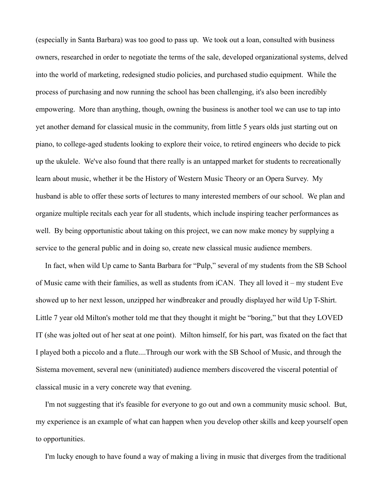(especially in Santa Barbara) was too good to pass up. We took out a loan, consulted with business owners, researched in order to negotiate the terms of the sale, developed organizational systems, delved into the world of marketing, redesigned studio policies, and purchased studio equipment. While the process of purchasing and now running the school has been challenging, it's also been incredibly empowering. More than anything, though, owning the business is another tool we can use to tap into yet another demand for classical music in the community, from little 5 years olds just starting out on piano, to college-aged students looking to explore their voice, to retired engineers who decide to pick up the ukulele. We've also found that there really is an untapped market for students to recreationally learn about music, whether it be the History of Western Music Theory or an Opera Survey. My husband is able to offer these sorts of lectures to many interested members of our school. We plan and organize multiple recitals each year for all students, which include inspiring teacher performances as well. By being opportunistic about taking on this project, we can now make money by supplying a service to the general public and in doing so, create new classical music audience members.

 In fact, when wild Up came to Santa Barbara for "Pulp," several of my students from the SB School of Music came with their families, as well as students from iCAN. They all loved it – my student Eve showed up to her next lesson, unzipped her windbreaker and proudly displayed her wild Up T-Shirt. Little 7 year old Milton's mother told me that they thought it might be "boring," but that they LOVED IT (she was jolted out of her seat at one point). Milton himself, for his part, was fixated on the fact that I played both a piccolo and a flute....Through our work with the SB School of Music, and through the Sistema movement, several new (uninitiated) audience members discovered the visceral potential of classical music in a very concrete way that evening.

 I'm not suggesting that it's feasible for everyone to go out and own a community music school. But, my experience is an example of what can happen when you develop other skills and keep yourself open to opportunities.

I'm lucky enough to have found a way of making a living in music that diverges from the traditional